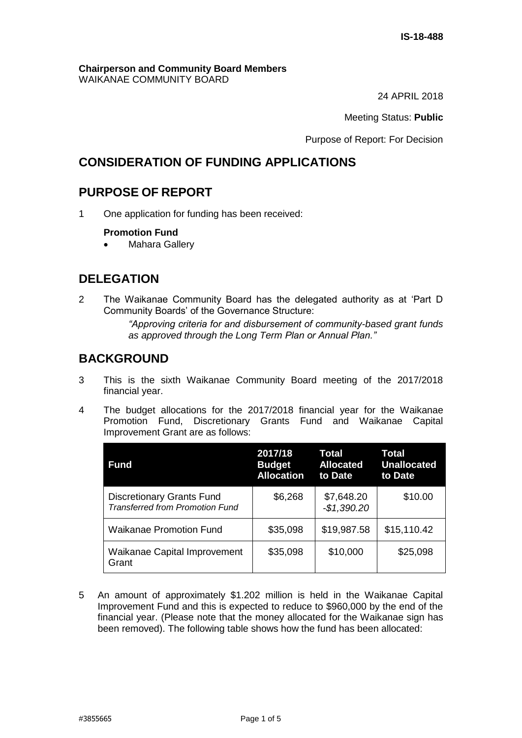#### **Chairperson and Community Board Members** WAIKANAE COMMUNITY BOARD

24 APRIL 2018

Meeting Status: **Public**

Purpose of Report: For Decision

# **CONSIDERATION OF FUNDING APPLICATIONS**

# **PURPOSE OF REPORT**

1 One application for funding has been received:

## **Promotion Fund**

Mahara Gallery

# **DELEGATION**

2 The Waikanae Community Board has the delegated authority as at 'Part D Community Boards' of the Governance Structure:

> *"Approving criteria for and disbursement of community-based grant funds as approved through the Long Term Plan or Annual Plan."*

# **BACKGROUND**

- 3 This is the sixth Waikanae Community Board meeting of the 2017/2018 financial year.
- 4 The budget allocations for the 2017/2018 financial year for the Waikanae Promotion Fund, Discretionary Grants Fund and Waikanae Capital Improvement Grant are as follows:

| <b>Fund</b>                                                                | 2017/18<br><b>Budget</b><br><b>Allocation</b> | Total<br><b>Allocated</b><br>to Date | Total<br><b>Unallocated</b><br>to Date |
|----------------------------------------------------------------------------|-----------------------------------------------|--------------------------------------|----------------------------------------|
| <b>Discretionary Grants Fund</b><br><b>Transferred from Promotion Fund</b> | \$6,268                                       | \$7,648.20<br>$-$1,390.20$           | \$10.00                                |
| <b>Waikanae Promotion Fund</b>                                             | \$35,098                                      | \$19,987.58                          | \$15,110.42                            |
| <b>Waikanae Capital Improvement</b><br>Grant                               | \$35,098                                      | \$10,000                             | \$25,098                               |

5 An amount of approximately \$1.202 million is held in the Waikanae Capital Improvement Fund and this is expected to reduce to \$960,000 by the end of the financial year. (Please note that the money allocated for the Waikanae sign has been removed). The following table shows how the fund has been allocated: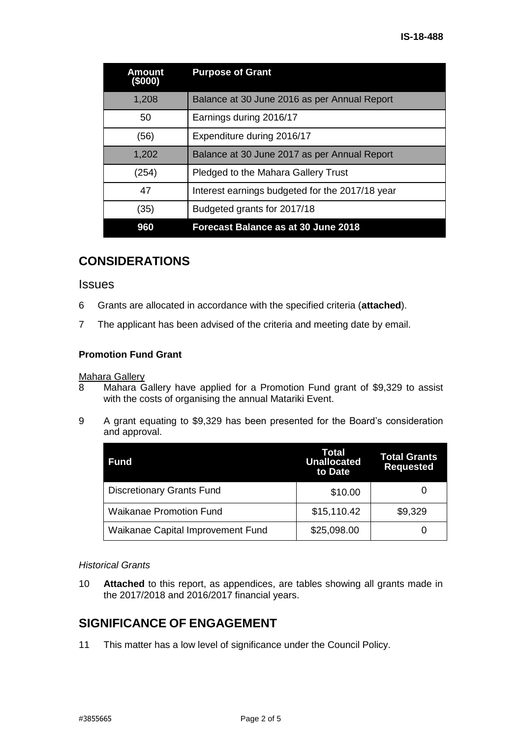| Amount<br>(5000) | <b>Purpose of Grant</b>                         |
|------------------|-------------------------------------------------|
| 1,208            | Balance at 30 June 2016 as per Annual Report    |
| 50               | Earnings during 2016/17                         |
| (56)             | Expenditure during 2016/17                      |
| 1,202            | Balance at 30 June 2017 as per Annual Report    |
| (254)            | <b>Pledged to the Mahara Gallery Trust</b>      |
| 47               | Interest earnings budgeted for the 2017/18 year |
| (35)             | Budgeted grants for 2017/18                     |
| 960              | <b>Forecast Balance as at 30 June 2018</b>      |

# **CONSIDERATIONS**

### **Issues**

- 6 Grants are allocated in accordance with the specified criteria (**attached**).
- 7 The applicant has been advised of the criteria and meeting date by email.

## **Promotion Fund Grant**

### Mahara Gallery

- 8 Mahara Gallery have applied for a Promotion Fund grant of \$9,329 to assist with the costs of organising the annual Matariki Event.
- 9 A grant equating to \$9,329 has been presented for the Board's consideration and approval.

| <b>Fund</b>                       | Total<br><b>Unallocated</b><br>to Date | <b>Total Grants</b><br><b>Requested</b> |
|-----------------------------------|----------------------------------------|-----------------------------------------|
| <b>Discretionary Grants Fund</b>  | \$10.00                                |                                         |
| <b>Waikanae Promotion Fund</b>    | \$15,110.42                            | \$9,329                                 |
| Waikanae Capital Improvement Fund | \$25,098.00                            |                                         |

### *Historical Grants*

10 **Attached** to this report, as appendices, are tables showing all grants made in the 2017/2018 and 2016/2017 financial years.

# **SIGNIFICANCE OF ENGAGEMENT**

11 This matter has a low level of significance under the Council Policy.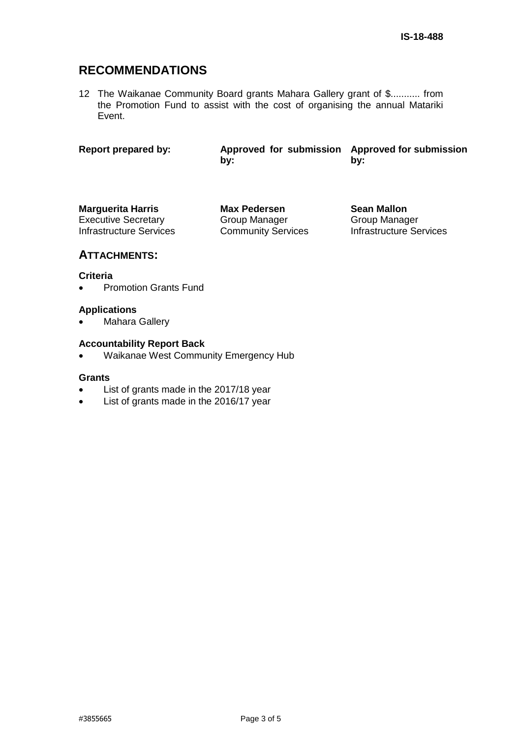# **RECOMMENDATIONS**

12 The Waikanae Community Board grants Mahara Gallery grant of \$........... from the Promotion Fund to assist with the cost of organising the annual Matariki Event.

**Report prepared by: Approved for submission Approved for submission by: by:**

**Marguerita Harris Max Pedersen Sean Mallon** Executive Secretary Infrastructure Services

Group Manager Community Services Group Manager Infrastructure Services

# **ATTACHMENTS:**

### **Criteria**

• Promotion Grants Fund

### **Applications**

Mahara Gallery

### **Accountability Report Back**

• Waikanae West Community Emergency Hub

#### **Grants**

- List of grants made in the 2017/18 year
- List of grants made in the 2016/17 year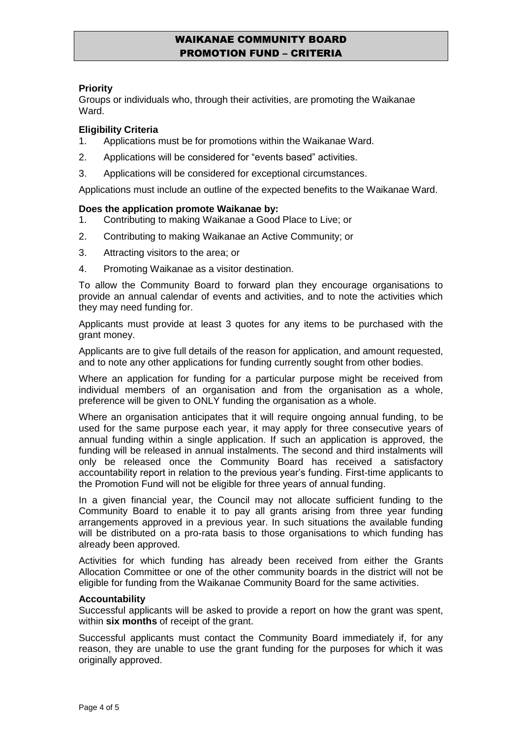# WAIKANAE COMMUNITY BOARD PROMOTION FUND – CRITERIA

## **Priority**

Groups or individuals who, through their activities, are promoting the Waikanae Ward.

## **Eligibility Criteria**

- 1. Applications must be for promotions within the Waikanae Ward.
- 2. Applications will be considered for "events based" activities.
- 3. Applications will be considered for exceptional circumstances.

Applications must include an outline of the expected benefits to the Waikanae Ward.

#### **Does the application promote Waikanae by:**

- 1. Contributing to making Waikanae a Good Place to Live; or
- 2. Contributing to making Waikanae an Active Community; or
- 3. Attracting visitors to the area; or
- 4. Promoting Waikanae as a visitor destination.

To allow the Community Board to forward plan they encourage organisations to provide an annual calendar of events and activities, and to note the activities which they may need funding for.

Applicants must provide at least 3 quotes for any items to be purchased with the grant money.

Applicants are to give full details of the reason for application, and amount requested, and to note any other applications for funding currently sought from other bodies.

Where an application for funding for a particular purpose might be received from individual members of an organisation and from the organisation as a whole, preference will be given to ONLY funding the organisation as a whole.

Where an organisation anticipates that it will require ongoing annual funding, to be used for the same purpose each year, it may apply for three consecutive years of annual funding within a single application. If such an application is approved, the funding will be released in annual instalments. The second and third instalments will only be released once the Community Board has received a satisfactory accountability report in relation to the previous year's funding. First-time applicants to the Promotion Fund will not be eligible for three years of annual funding.

In a given financial year, the Council may not allocate sufficient funding to the Community Board to enable it to pay all grants arising from three year funding arrangements approved in a previous year. In such situations the available funding will be distributed on a pro-rata basis to those organisations to which funding has already been approved.

Activities for which funding has already been received from either the Grants Allocation Committee or one of the other community boards in the district will not be eligible for funding from the Waikanae Community Board for the same activities.

#### **Accountability**

Successful applicants will be asked to provide a report on how the grant was spent, within **six months** of receipt of the grant.

Successful applicants must contact the Community Board immediately if, for any reason, they are unable to use the grant funding for the purposes for which it was originally approved.